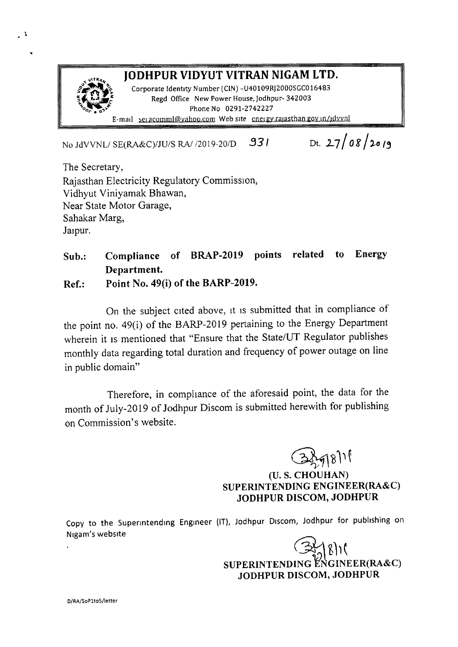

Dt.  $27/08/2019$ No JdVVNLI SE(RA&C)/JU/S *RA/12019-20/0 .931*

The Secretary, Rajasthan Electricity Regulatory Commission, Vidhyut Viniyamak Bhawan, Near State Motor Garage, Sahakar Marg, Jaipur.

 $\overline{1}$ 

# Sub.: Compliance of BRAP-2019 points related to Energy Department.

Ref.: Point No. 49(i) of the BARP-2019.

On the subject cited above, it is submitted that in compliance of the point no. 49(i) of the BARP-20 19 pertaining to the Energy Department wherein it is mentioned that "Ensure that the State/UT Regulator publishes monthly data regarding total duration and frequency of power outage on line in public domain"

Therefore, in compliance of the aforesaid point, the data for the month of July-2019 of Jodhpur Discom is submitted herewith for publishing on Commission's website.

> $\Theta$ (U. S. CHOUHAN) SUPERINTENDING ENGINEER(RA&C) JODHPUR DISCOM, JODHPUR

Copy to the Superintending Engineer (IT), Jodhpur Discom, Jodhpur for publishing on Nigam's websrte

 $\mathbb{Z}_2$ SUPERINTENDING ENGINEER(RA&C) JODHPUR DISCOM, JODHPUR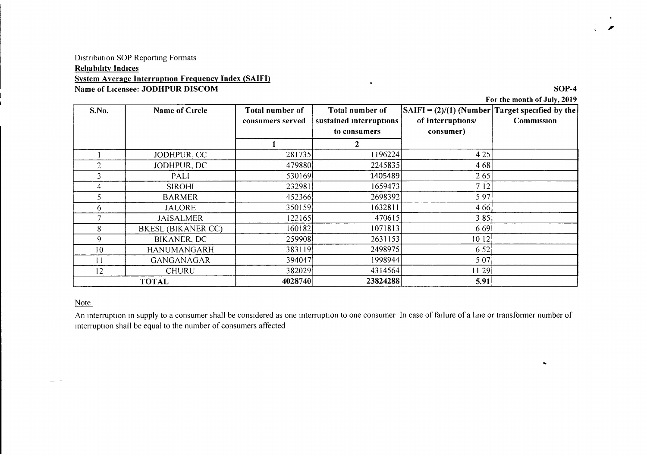### Distribution SOP Reporting Formats **Reliability Indices** System Average Interruption Frequency Index (SAIFI) Name of Licensee: JODHPUR DISCOM SOP-4

For the month of July, 2019

..

,<br>,

| S.No.        | Name of Circle            | Total number of<br>consumers served | Total number of<br>sustained interruptions<br>to consumers | $\vert$ SAIFI = (2)/(1) (Number Target specified by the<br>of Interruptions/<br>consumer) | Commission |
|--------------|---------------------------|-------------------------------------|------------------------------------------------------------|-------------------------------------------------------------------------------------------|------------|
|              |                           |                                     |                                                            |                                                                                           |            |
|              | JODHPUR, CC               | 281735                              | 1196224                                                    | 4 2 5                                                                                     |            |
|              | JODHPUR, DC               | 479880                              | 2245835                                                    | 468                                                                                       |            |
| 3            | PALI                      | 530169                              | 1405489                                                    | 265                                                                                       |            |
| 4            | <b>SIROHI</b>             | 232981                              | 1659473                                                    | 7 12                                                                                      |            |
| 5.           | <b>BARMER</b>             | 452366                              | 2698392                                                    | 5 9 7                                                                                     |            |
| 6.           | JALORE                    | 350159                              | 1632811                                                    | 4 6 6                                                                                     |            |
|              | <b>JAISALMER</b>          | 122165                              | 470615                                                     | 385                                                                                       |            |
| 8            | <b>BKESL (BIKANER CC)</b> | 160182                              | 1071813                                                    | 669                                                                                       |            |
| 9            | <b>BIKANER, DC</b>        | 259908                              | 2631153                                                    | 10 12                                                                                     |            |
| 10           | HANUMANGARH               | 383119                              | 2498975                                                    | 6 5 2                                                                                     |            |
|              | GANGANAGAR                | 394047                              | 1998944                                                    | 5 0 7                                                                                     |            |
| 12           | <b>CHURU</b>              | 382029                              | 4314564                                                    | 11 29                                                                                     |            |
| <b>TOTAL</b> |                           | 4028740                             | 23824288                                                   | 5.91                                                                                      |            |

 $\bullet$ 

#### Note

An interruption in supply to a consumer shall be considered as one interruption to one consumer In case of failure of a line or transformer number of mterruption shall be equal to the number of consumers affected